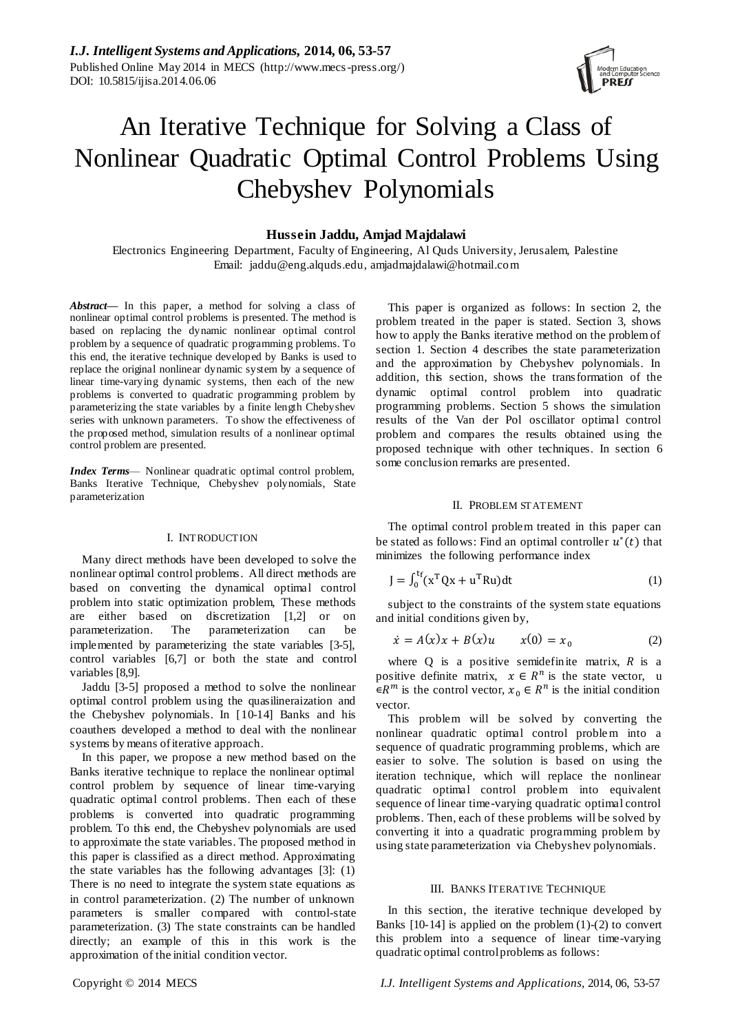# An Iterative Technique for Solving a Class of Nonlinear Quadratic Optimal Control Problems Using Chebyshev Polynomials

# **Hussein Jaddu, Amjad Majdalawi**

Electronics Engineering Department, Faculty of Engineering, Al Quds University, Jerusalem, Palestine Email: jaddu@eng.alquds.edu, amjadmajdalawi@hotmail.com

*Abstract***—** In this paper, a method for solving a class of nonlinear optimal control problems is presented. The method is based on replacing the dynamic nonlinear optimal control problem by a sequence of quadratic programming problems. To this end, the iterative technique developed by Banks is used to replace the original nonlinear dynamic system by a sequence of linear time-varying dynamic systems, then each of the new problems is converted to quadratic programming problem by parameterizing the state variables by a finite length Chebyshev series with unknown parameters. To show the effectiveness of the proposed method, simulation results of a nonlinear optimal control problem are presented.

*Index Terms*— Nonlinear quadratic optimal control problem, Banks Iterative Technique, Chebyshev polynomials, State parameterization

### I. INTRODUCTION

Many direct methods have been developed to solve the nonlinear optimal control problems. All direct methods are based on converting the dynamical optimal control problem into static optimization problem, These methods are either based on discretization [1,2] or on parameterization. The parameterization can be implemented by parameterizing the state variables [3-5], control variables [6,7] or both the state and control variables [8,9].

Jaddu [3-5] proposed a method to solve the nonlinear optimal control problem using the quasilineraization and the Chebyshev polynomials. In [10-14] Banks and his coauthers developed a method to deal with the nonlinear systems by means of iterative approach.

In this paper, we propose a new method based on the Banks iterative technique to replace the nonlinear optimal control problem by sequence of linear time-varying quadratic optimal control problems. Then each of these problems is converted into quadratic programming problem. To this end, the Chebyshev polynomials are used to approximate the state variables. The proposed method in this paper is classified as a direct method. Approximating the state variables has the following advantages [3]: (1) There is no need to integrate the system state equations as in control parameterization. (2) The number of unknown parameters is smaller compared with control-state parameterization. (3) The state constraints can be handled directly; an example of this in this work is the approximation of the initial condition vector.

This paper is organized as follows: In section 2, the problem treated in the paper is stated. Section 3, shows how to apply the Banks iterative method on the problem of section 1. Section 4 describes the state parameterization and the approximation by Chebyshev polynomials. In addition, this section, shows the transformation of the dynamic optimal control problem into quadratic programming problems. Section 5 shows the simulation results of the Van der Pol oscillator optimal control problem and compares the results obtained using the proposed technique with other techniques. In section 6 some conclusion remarks are presented.

#### II. PROBLEM STATEMENT

The optimal control problem treated in this paper can be stated as follows: Find an optimal controller  $u^*(t)$  that minimizes the following performance index

$$
J = \int_0^{t_f} (x^T Q x + u^T R u) dt
$$
 (1)

subject to the constraints of the system state equations and initial conditions given by,

$$
\dot{x} = A(x)x + B(x)u \qquad x(0) = x_0 \tag{2}
$$

where  $Q$  is a positive semidefinite matrix,  $R$  is a positive definite matrix,  $x \in R^n$  is the state vector, u  $\in R^m$  is the control vector,  $x_0 \in R^n$  is the initial condition vector.

This problem will be solved by converting the nonlinear quadratic optimal control problem into a sequence of quadratic programming problems, which are easier to solve. The solution is based on using the iteration technique, which will replace the nonlinear quadratic optimal control problem into equivalent sequence of linear time-varying quadratic optimal control problems. Then, each of these problems will be solved by converting it into a quadratic programming problem by using state parameterization via Chebyshev polynomials.

#### III. BANKS ITERATIVE TECHNIQUE

In this section, the iterative technique developed by Banks  $[10-14]$  is applied on the problem  $(1)-(2)$  to convert this problem into a sequence of linear time-varying quadratic optimal control problems as follows: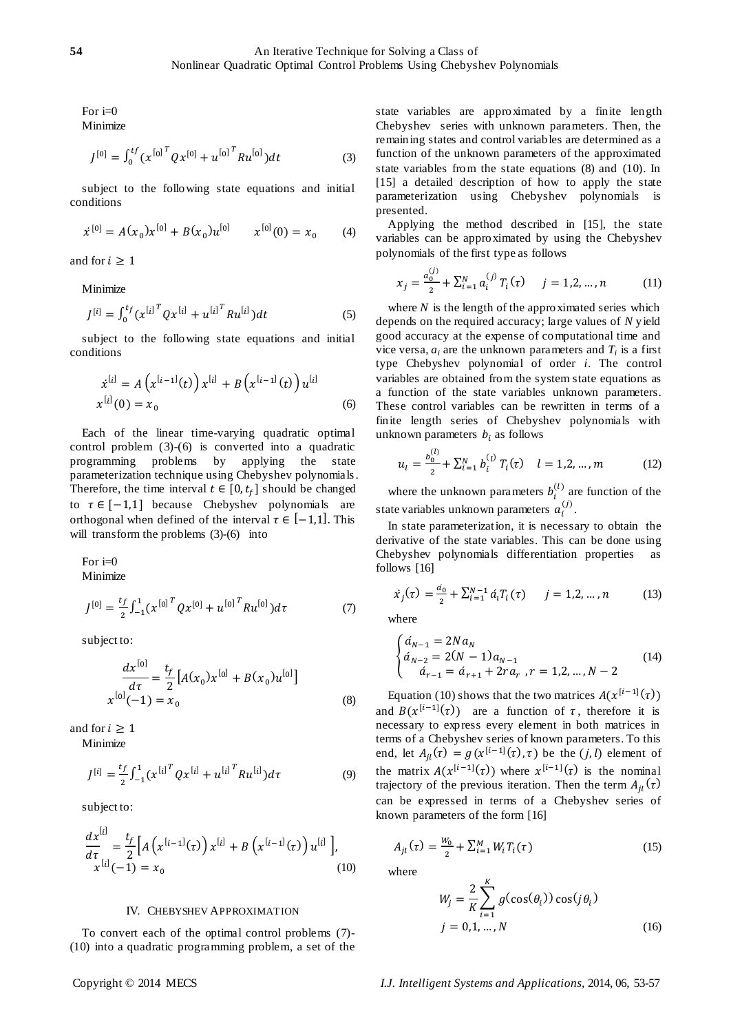For  $i=0$ 

Minimize

$$
J^{[0]} = \int_0^{tf} (x^{[0]}^T Q x^{[0]} + u^{[0]}^T R u^{[0]}) dt
$$
 (3)

subject to the following state equations and initial conditions

$$
\dot{x}^{[0]} = A(x_0)x^{[0]} + B(x_0)u^{[0]} \qquad x^{[0]}(0) = x_0 \qquad (4)
$$

and for  $i \geq 1$ 

Minimize

$$
J^{[i]} = \int_0^{t_f} (x^{[i]}^T Q x^{[i]} + u^{[i]}^T R u^{[i]}) dt
$$
 (5)

subject to the following state equations and initial conditions

$$
\dot{x}^{[i]} = A(x^{[i-1]}(t)) x^{[i]} + B(x^{[i-1]}(t)) u^{[i]}
$$
  

$$
x^{[i]}(0) = x_0
$$
 (6)

Each of the linear time-varying quadratic optimal control problem (3)-(6) is converted into a quadratic programming problems by applying the state parameterization technique using Chebyshev polynomials. Therefore, the time interval  $t \in [0, t_f]$  should be changed to  $\tau \in [-1,1]$  because Chebyshev polynomials are orthogonal when defined of the interval  $\tau \in [-1,1]$ . This will transform the problems (3)-(6) into

For  $i=0$ Minimize

$$
J^{[0]} = \frac{t_f}{2} \int_{-1}^{1} (x^{[0]}^T Q x^{[0]} + u^{[0]}^T R u^{[0]}) d\tau
$$
 (7)

subject to:

$$
\frac{dx^{[0]}}{d\tau} = \frac{t_f}{2} \left[ A(x_0) x^{[0]} + B(x_0) u^{[0]} \right]
$$
  

$$
x^{[0]}(-1) = x_0
$$
 (8)

and for  $i \geq 1$ 

Minimize

$$
J^{[i]} = \frac{t_f}{2} \int_{-1}^{1} (x^{[i]}^T Q x^{[i]} + u^{[i]}^T R u^{[i]}) d\tau
$$
 (9)

subject to:

$$
\frac{dx^{[i]}}{d\tau} = \frac{t_f}{2} \Big[ A\left(x^{[i-1]}(\tau)\right) x^{[i]} + B\left(x^{[i-1]}(\tau)\right) u^{[i]} \Big],
$$
  
 
$$
x^{[i]}(-1) = x_0
$$
 (10)

#### IV. CHEBYSHEV APPROXIMATION

To convert each of the optimal control problems (7)- (10) into a quadratic programming problem, a set of the state variables are approximated by a finite length Chebyshev series with unknown parameters. Then, the remaining states and control variables are determined as a function of the unknown parameters of the approximated state variables from the state equations (8) and (10). In [15] a detailed description of how to apply the state parameterization using Chebyshev polynomials is presented.

Applying the method described in [15], the state variables can be approximated by using the Chebyshev polynomials of the first type as follows

$$
x_j = \frac{a_0^{(j)}}{2} + \sum_{i=1}^{N} a_i^{(j)} T_i(\tau) \qquad j = 1, 2, ..., n \tag{11}
$$

where  $N$  is the length of the approximated series which depends on the required accuracy; large values of *N* yield good accuracy at the expense of computational time and vice versa,  $a_i$  are the unknown parameters and  $T_i$  is a first type Chebyshev polynomial of order *i*. The control variables are obtained from the system state equations as a function of the state variables unknown parameters. These control variables can be rewritten in terms of a finite length series of Chebyshev polynomials with unknown parameters  $b_i$  as follows

$$
u_{l} = \frac{b_{0}^{(l)}}{2} + \sum_{i=1}^{N} b_{i}^{(l)} T_{i}(\tau) \quad l = 1, 2, ..., m \tag{12}
$$

where the unknown parameters  $b_i^{(l)}$  are function of the state variables unknown parameters  $a_i^{(j)}$ .

In state parameterization, it is necessary to obtain the derivative of the state variables. This can be done using Chebyshev polynomials differentiation properties as follows [16]

$$
\dot{x}_j(\tau) = \frac{a_0}{2} + \sum_{i=1}^{N-1} \dot{a}_i T_i(\tau) \qquad j = 1, 2, \dots, n \tag{13}
$$

where

$$
\begin{cases}\n\dot{a}_{N-1} = 2N a_N \\
\dot{a}_{N-2} = 2(N-1) a_{N-1} \\
\dot{a}_{r-1} = \dot{a}_{r+1} + 2r a_r \, , r = 1,2, \dots, N-2\n\end{cases} \tag{14}
$$

Equation (10) shows that the two matrices  $A(x^{\dagger})$ and  $B(x^{[i-1]}(\tau))$  are a function of  $\tau$ , therefore it is necessary to express every element in both matrices in terms of a Chebyshev series of known parameters. To this end, let  $A_{ii}(\tau) = g(x^{[i-1]}(\tau), \tau)$  be the  $(j, l)$  element of the matrix  $A(x^{[i-1]}(\tau))$  where  $x^{[i-1]}(\tau)$  is the nominal trajectory of the previous iteration. Then the term  $A_{il}(\tau)$ can be expressed in terms of a Chebyshev series of known parameters of the form [16]

$$
A_{jl}(\tau) = \frac{W_0}{2} + \sum_{i=1}^{M} W_i T_i(\tau)
$$
\n(15)

where

$$
W_j = \frac{2}{K} \sum_{i=1}^{K} g(\cos(\theta_i)) \cos(j\theta_i)
$$
  

$$
j = 0, 1, ..., N
$$
 (16)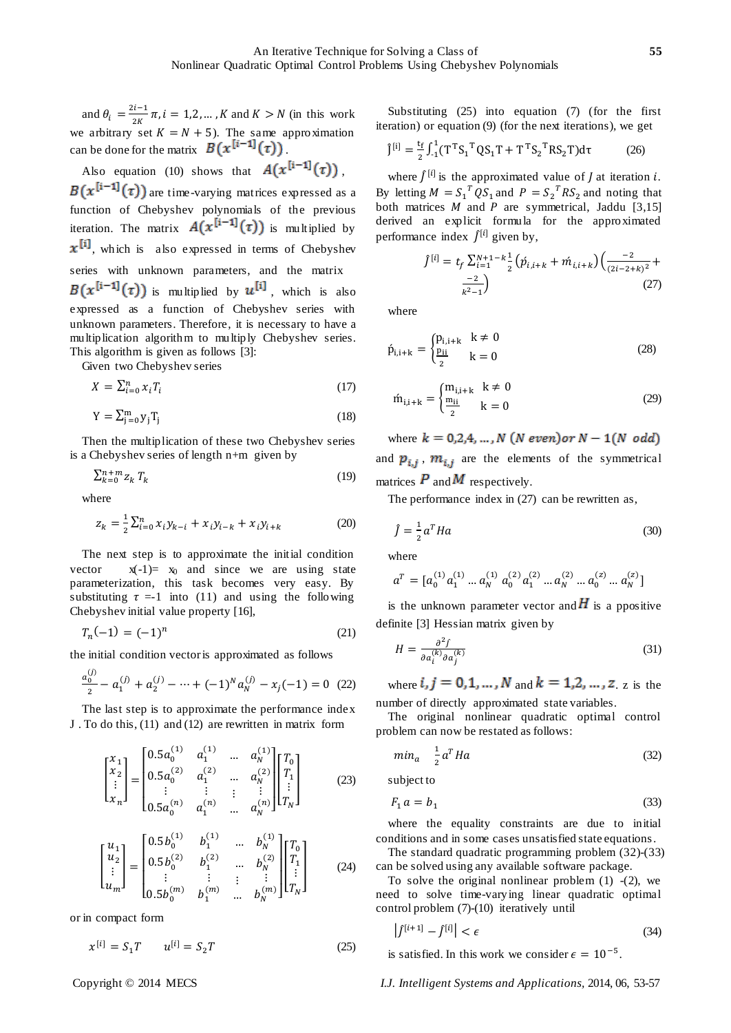and  $\theta_i = \frac{2}{\pi}$  $\frac{n-1}{2K}\pi$ ,  $i = 1, 2, \dots, K$  and  $K > N$  (in this work we arbitrary set  $K = N + 5$ ). The same approximation can be done for the matrix  $B(x^{[i-1]}(\tau))$ .

Also equation (10) shows that 
$$
A(x^{[i-1]}(\tau))
$$
,

 $B(x^{[1-1]}(\tau))$  are time-varying matrices expressed as a function of Chebyshev polynomials of the previous iteration. The matrix  $A(x^{[i-1]}(\tau))$  is multiplied by  $x^{[i]}$ , which is also expressed in terms of Chebyshev series with unknown parameters, and the matrix  $B(x^{[i-1]}(\tau))$  is multiplied by  $u^{[i]}$ , which is also expressed as a function of Chebyshev series with unknown parameters. Therefore, it is necessary to have a multiplication algorithm to multiply Chebyshev series. This algorithm is given as follows [3]:

Given two Chebyshev series

$$
X = \sum_{i=0}^{n} x_i T_i \tag{17}
$$

$$
Y = \sum_{j=0}^{m} y_j T_j \tag{18}
$$

Then the multiplication of these two Chebyshev series is a Chebyshev series of length n+m given by

$$
\sum_{k=0}^{n+m} z_k T_k \tag{19}
$$

where

$$
z_k = \frac{1}{2} \sum_{i=0}^n x_i y_{k-i} + x_i y_{i-k} + x_i y_{i+k}
$$
 (20)

The next step is to approximate the initial condition vector  $x(-1) = x_0$  and since we are using state parameterization, this task becomes very easy. By substituting  $\tau = 1$  into (11) and using the following Chebyshev initial value property [16],

$$
T_n(-1) = (-1)^n \tag{21}
$$

the initial condition vector is approximated as follows

$$
\frac{a_0^{(j)}}{2} - a_1^{(j)} + a_2^{(j)} - \dots + (-1)^N a_N^{(j)} - x_j(-1) = 0
$$
 (22)

The last step is to approximate the performance index J . To do this, (11) and (12) are rewritten in matrix form

$$
\begin{bmatrix} x_1 \\ x_2 \\ \vdots \\ x_n \end{bmatrix} = \begin{bmatrix} 0.5a_0^{(1)} & a_1^{(1)} & \dots & a_N^{(1)} \\ 0.5a_0^{(2)} & a_1^{(2)} & \dots & a_N^{(2)} \\ \vdots & \vdots & \vdots & \vdots \\ 0.5a_0^{(n)} & a_1^{(n)} & \dots & a_N^{(n)} \end{bmatrix} \begin{bmatrix} T_0 \\ T_1 \\ \vdots \\ T_N \end{bmatrix}
$$
(23)

$$
\begin{bmatrix} u_1 \\ u_2 \\ \vdots \\ u_m \end{bmatrix} = \begin{bmatrix} 0.5b_0^{(1)} & b_1^{(1)} & \dots & b_N^{(1)} \\ 0.5b_0^{(2)} & b_1^{(2)} & \dots & b_N^{(2)} \\ \vdots & \vdots & \vdots & \vdots \\ 0.5b_0^{(m)} & b_1^{(m)} & \dots & b_N^{(m)} \end{bmatrix} \begin{bmatrix} T_0 \\ T_1 \\ \vdots \\ T_N \end{bmatrix}
$$
(24)

or in compact form

$$
x^{[i]} = S_1 T \qquad u^{[i]} = S_2 T \tag{25}
$$

Substituting (25) into equation (7) (for the first iteration) or equation (9) (for the next iterations), we get

$$
\hat{J}^{[i]} = \frac{t_f}{2} \int_{-1}^{1} (T^T S_1^T Q S_1 T + T^T S_2^T R S_2 T) d\tau
$$
 (26)

where  $\int^{[i]}$  is the approximated value of *J* at iteration *i*. By letting  $M = S_1^T Q S_1$  and  $P = S_2^T R S_2$  and noting that both matrices  $M$  and  $P$  are symmetrical, Jaddu [3,15] derived an explicit formula for the approximated performance index  $f^{[i]}$  given by,

$$
f^{[i]} = t_f \sum_{i=1}^{N+1-k} \frac{1}{2} \left( \acute{p}_{i,i+k} + \acute{m}_{i,i+k} \right) \left( \frac{-2}{(2i-2+k)^2} + \frac{-2}{k^2-1} \right)
$$
(27)

where

$$
\acute{p}_{i,i+k} = \begin{cases} p_{i,i+k} & k \neq 0\\ \frac{p_{ii}}{2} & k = 0 \end{cases}
$$
 (28)

$$
\dot{m}_{i,i+k} = \begin{cases} m_{i,i+k} & k \neq 0 \\ \frac{m_{ii}}{2} & k = 0 \end{cases}
$$
 (29)

where  $k = 0,2,4,...,N$  (*N* even) or  $N - 1(N \text{ odd})$ and  $p_{i,i}$ ,  $m_{i,i}$  are the elements of the symmetrical matrices  $\vec{P}$  and  $\vec{M}$  respectively.

The performance index in (27) can be rewritten as,

$$
\hat{f} = \frac{1}{2}a^T H a \tag{30}
$$

where

$$
a^T = [a_0^{(1)}a_1^{(1)} \dots a_N^{(1)} a_0^{(2)}a_1^{(2)} \dots a_N^{(2)} \dots a_0^{(z)} \dots a_N^{(z)}]
$$

is the unknown parameter vector and  $H$  is a ppositive definite [3] Hessian matrix given by

$$
H = \frac{\partial^2 f}{\partial a_i^{(k)} \partial a_j^{(k)}}
$$
(31)

where  $i, j = 0, 1, ..., N$  and  $k = 1, 2, ..., z$  is the number of directly approximated state variables.

The original nonlinear quadratic optimal control problem can now be restated as follows:

$$
min_a \quad \frac{1}{2} a^T H a \tag{32}
$$

subject to

$$
F_1 a = b_1 \tag{33}
$$

where the equality constraints are due to initial conditions and in some cases unsatisfied state equations.

The standard quadratic programming problem (32)-(33) can be solved using any available software package.

To solve the original nonlinear problem  $(1)$  - $(2)$ , we need to solve time-varying linear quadratic optimal control problem (7)-(10) iteratively until

$$
\left|f^{[i+1]} - f^{[i]}\right| < \epsilon \tag{34}
$$

is satisfied. In this work we consider  $\epsilon = 10^{-5}$ .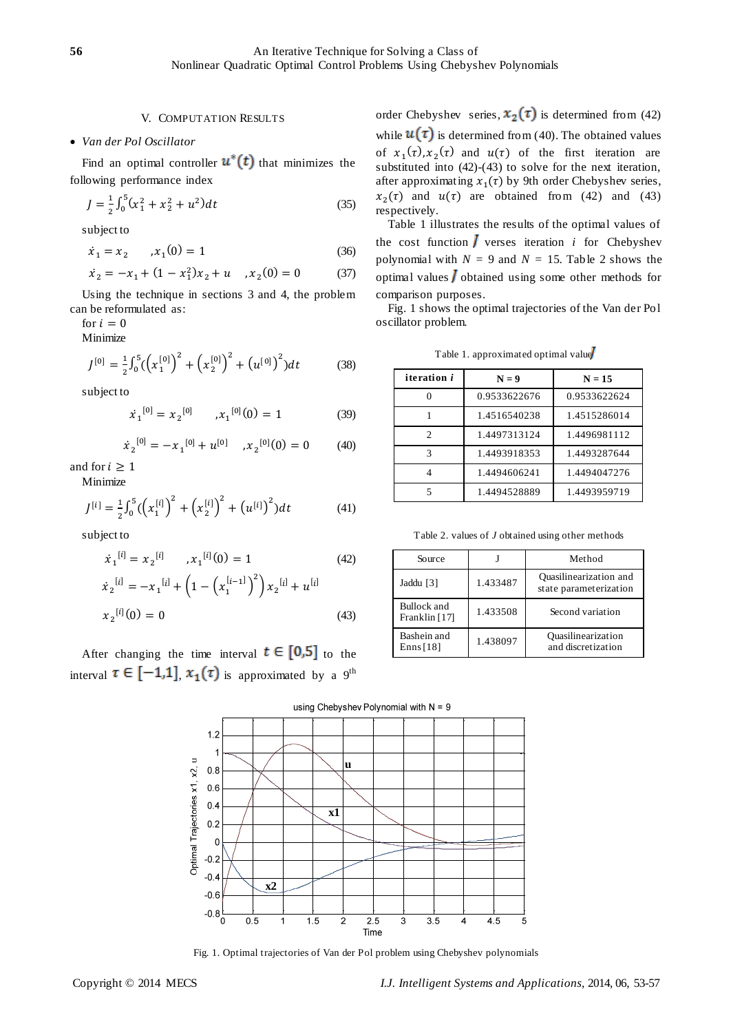# V. COMPUTATION RESULTS

# *Van der Pol Oscillator*

Find an optimal controller  $u^*(t)$  that minimizes the following performance index

$$
J = \frac{1}{2} \int_0^5 (x_1^2 + x_2^2 + u^2) dt
$$
 (35)

subject to

$$
\dot{x}_1 = x_2 \qquad , x_1(0) = 1 \tag{36}
$$

$$
\dot{x}_2 = -x_1 + (1 - x_1^2)x_2 + u \quad , x_2(0) = 0 \qquad \qquad (37)
$$

Using the technique in sections 3 and 4, the problem can be reformulated as:

for  $i=0$ 

Minimize

$$
J^{[0]} = \frac{1}{2} \int_0^5 \left( \left( x_1^{[0]} \right)^2 + \left( x_2^{[0]} \right)^2 + \left( u^{[0]} \right)^2 \right) dt \tag{38}
$$

subject to

$$
\dot{x}_1^{[0]} = x_2^{[0]} \qquad , x_1^{[0]}(0) = 1 \tag{39}
$$

$$
\dot{x}_2^{[0]} = -x_1^{[0]} + u^{[0]}, \quad x_2^{[0]}(0) = 0 \tag{40}
$$

and for  $i \geq 1$ 

Minimize

$$
J^{[i]} = \frac{1}{2} \int_0^5 \left( \left( x_1^{[i]} \right)^2 + \left( x_2^{[i]} \right)^2 + \left( u^{[i]} \right)^2 \right) dt \tag{41}
$$

subject to

$$
\dot{x}_1^{[i]} = x_2^{[i]}, \quad x_1^{[i]}(0) = 1 \tag{42}
$$
\n
$$
\dot{x}_2^{[i]} = -x_1^{[i]} + \left(1 - \left(x_1^{[i-1]}\right)^2\right)x_2^{[i]} + u^{[i]}
$$

$$
x_2^{[i]}(0) = 0 \tag{43}
$$

After changing the time interval  $t \in [0,5]$  to the interval  $\tau \in [-1,1]$ ,  $x_1(\tau)$  is approximated by a 9<sup>th</sup> order Chebyshev series,  $x_2(\tau)$  is determined from (42) while  $u(\tau)$  is determined from (40). The obtained values of  $x_1(\tau), x_2(\tau)$  and  $u(\tau)$  of the first iteration are substituted into (42)-(43) to solve for the next iteration, after approximating  $x_1(\tau)$  by 9th order Chebyshev series,  $x_2(\tau)$  and  $u(\tau)$  are obtained from (42) and (43) respectively.

Table 1 illustrates the results of the optimal values of the cost function  $\boldsymbol{J}$  verses iteration *i* for Chebyshev polynomial with  $N = 9$  and  $N = 15$ . Table 2 shows the optimal values  $\overline{J}$  obtained using some other methods for comparison purposes.

Fig. 1 shows the optimal trajectories of the Van der Pol oscillator problem.

| <i>iteration i</i> | $N = 9$      | $N = 15$     |
|--------------------|--------------|--------------|
|                    | 0.9533622676 | 0.9533622624 |
|                    | 1.4516540238 | 1.4515286014 |
| $\mathfrak{D}$     | 1.4497313124 | 1.4496981112 |
| 3                  | 1.4493918353 | 1.4493287644 |
| 4                  | 1.4494606241 | 1.4494047276 |
| 5                  | 1.4494528889 | 1.4493959719 |

Table 1. approximated optimal value

Table 2. values of *J* obtained using other methods

| Source                       |          | Method                                           |
|------------------------------|----------|--------------------------------------------------|
| Jaddu [3]                    | 1.433487 | Quasilinearization and<br>state parameterization |
| Bullock and<br>Franklin [17] | 1.433508 | Second variation                                 |
| Bashein and<br>Enns $[18]$   | 1.438097 | <b>Quasilinearization</b><br>and discretization  |



Fig. 1. Optimal trajectories of Van der Pol problem using Chebyshev polynomials